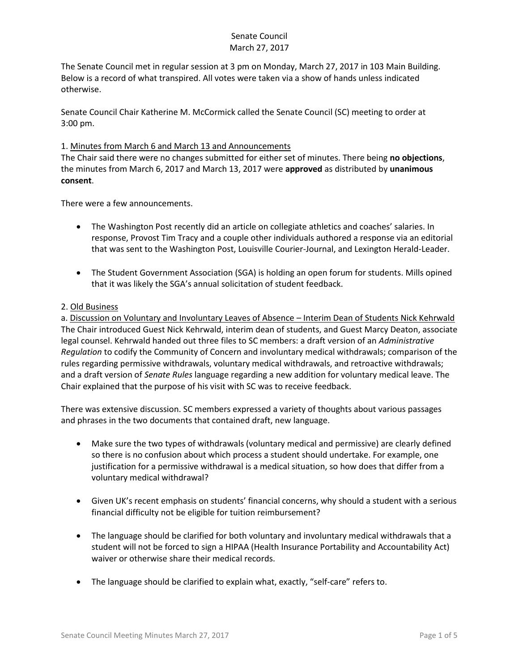The Senate Council met in regular session at 3 pm on Monday, March 27, 2017 in 103 Main Building. Below is a record of what transpired. All votes were taken via a show of hands unless indicated otherwise.

Senate Council Chair Katherine M. McCormick called the Senate Council (SC) meeting to order at 3:00 pm.

### 1. Minutes from March 6 and March 13 and Announcements

The Chair said there were no changes submitted for either set of minutes. There being **no objections**, the minutes from March 6, 2017 and March 13, 2017 were **approved** as distributed by **unanimous consent**.

There were a few announcements.

- The Washington Post recently did an article on collegiate athletics and coaches' salaries. In response, Provost Tim Tracy and a couple other individuals authored a response via an editorial that was sent to the Washington Post, Louisville Courier-Journal, and Lexington Herald-Leader.
- The Student Government Association (SGA) is holding an open forum for students. Mills opined that it was likely the SGA's annual solicitation of student feedback.

### 2. Old Business

a. Discussion on Voluntary and Involuntary Leaves of Absence – Interim Dean of Students Nick Kehrwald The Chair introduced Guest Nick Kehrwald, interim dean of students, and Guest Marcy Deaton, associate legal counsel. Kehrwald handed out three files to SC members: a draft version of an *Administrative Regulation* to codify the Community of Concern and involuntary medical withdrawals; comparison of the rules regarding permissive withdrawals, voluntary medical withdrawals, and retroactive withdrawals; and a draft version of *Senate Rules* language regarding a new addition for voluntary medical leave. The Chair explained that the purpose of his visit with SC was to receive feedback.

There was extensive discussion. SC members expressed a variety of thoughts about various passages and phrases in the two documents that contained draft, new language.

- Make sure the two types of withdrawals (voluntary medical and permissive) are clearly defined so there is no confusion about which process a student should undertake. For example, one justification for a permissive withdrawal is a medical situation, so how does that differ from a voluntary medical withdrawal?
- Given UK's recent emphasis on students' financial concerns, why should a student with a serious financial difficulty not be eligible for tuition reimbursement?
- The language should be clarified for both voluntary and involuntary medical withdrawals that a student will not be forced to sign a HIPAA (Health Insurance Portability and Accountability Act) waiver or otherwise share their medical records.
- The language should be clarified to explain what, exactly, "self-care" refers to.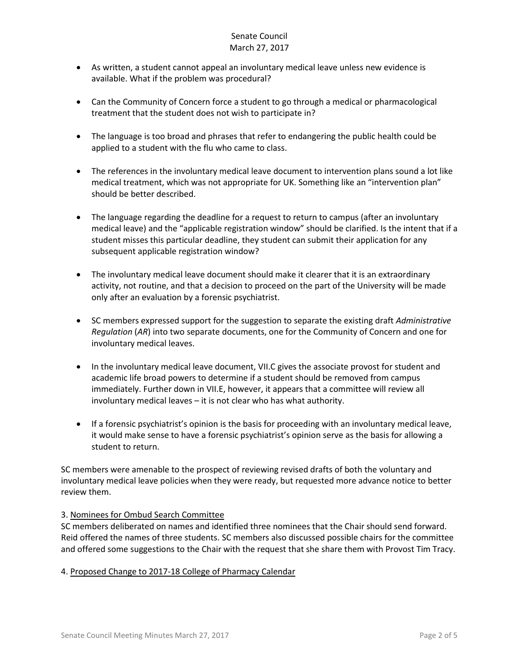- As written, a student cannot appeal an involuntary medical leave unless new evidence is available. What if the problem was procedural?
- Can the Community of Concern force a student to go through a medical or pharmacological treatment that the student does not wish to participate in?
- The language is too broad and phrases that refer to endangering the public health could be applied to a student with the flu who came to class.
- The references in the involuntary medical leave document to intervention plans sound a lot like medical treatment, which was not appropriate for UK. Something like an "intervention plan" should be better described.
- The language regarding the deadline for a request to return to campus (after an involuntary medical leave) and the "applicable registration window" should be clarified. Is the intent that if a student misses this particular deadline, they student can submit their application for any subsequent applicable registration window?
- The involuntary medical leave document should make it clearer that it is an extraordinary activity, not routine, and that a decision to proceed on the part of the University will be made only after an evaluation by a forensic psychiatrist.
- SC members expressed support for the suggestion to separate the existing draft *Administrative Regulation* (*AR*) into two separate documents, one for the Community of Concern and one for involuntary medical leaves.
- In the involuntary medical leave document, VII.C gives the associate provost for student and academic life broad powers to determine if a student should be removed from campus immediately. Further down in VII.E, however, it appears that a committee will review all involuntary medical leaves – it is not clear who has what authority.
- If a forensic psychiatrist's opinion is the basis for proceeding with an involuntary medical leave, it would make sense to have a forensic psychiatrist's opinion serve as the basis for allowing a student to return.

SC members were amenable to the prospect of reviewing revised drafts of both the voluntary and involuntary medical leave policies when they were ready, but requested more advance notice to better review them.

# 3. Nominees for Ombud Search Committee

SC members deliberated on names and identified three nominees that the Chair should send forward. Reid offered the names of three students. SC members also discussed possible chairs for the committee and offered some suggestions to the Chair with the request that she share them with Provost Tim Tracy.

### 4. Proposed Change to 2017-18 College of Pharmacy Calendar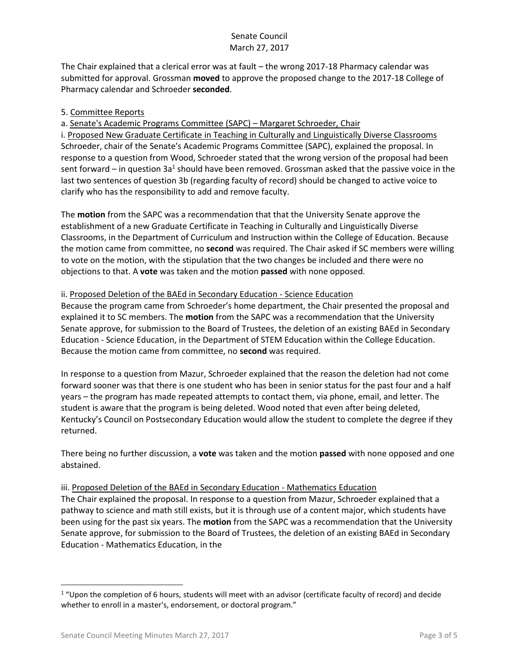The Chair explained that a clerical error was at fault – the wrong 2017-18 Pharmacy calendar was submitted for approval. Grossman **moved** to approve the proposed change to the 2017-18 College of Pharmacy calendar and Schroeder **seconded**.

### 5. Committee Reports

a. Senate's Academic Programs Committee (SAPC) – Margaret Schroeder, Chair

i. Proposed New Graduate Certificate in Teaching in Culturally and Linguistically Diverse Classrooms Schroeder, chair of the Senate's Academic Programs Committee (SAPC), explained the proposal. In response to a question from Wood, Schroeder stated that the wrong version of the proposal had been sent forward – in question 3a<sup>1</sup> should have been removed. Grossman asked that the passive voice in the last two sentences of question 3b (regarding faculty of record) should be changed to active voice to clarify who has the responsibility to add and remove faculty.

The **motion** from the SAPC was a recommendation that that the University Senate approve the establishment of a new Graduate Certificate in Teaching in Culturally and Linguistically Diverse Classrooms, in the Department of Curriculum and Instruction within the College of Education. Because the motion came from committee, no **second** was required. The Chair asked if SC members were willing to vote on the motion, with the stipulation that the two changes be included and there were no objections to that. A **vote** was taken and the motion **passed** with none opposed.

### ii. Proposed Deletion of the BAEd in Secondary Education - Science Education

Because the program came from Schroeder's home department, the Chair presented the proposal and explained it to SC members. The **motion** from the SAPC was a recommendation that the University Senate approve, for submission to the Board of Trustees, the deletion of an existing BAEd in Secondary Education - Science Education, in the Department of STEM Education within the College Education. Because the motion came from committee, no **second** was required.

In response to a question from Mazur, Schroeder explained that the reason the deletion had not come forward sooner was that there is one student who has been in senior status for the past four and a half years – the program has made repeated attempts to contact them, via phone, email, and letter. The student is aware that the program is being deleted. Wood noted that even after being deleted, Kentucky's Council on Postsecondary Education would allow the student to complete the degree if they returned.

There being no further discussion, a **vote** was taken and the motion **passed** with none opposed and one abstained.

### iii. Proposed Deletion of the BAEd in Secondary Education - Mathematics Education

The Chair explained the proposal. In response to a question from Mazur, Schroeder explained that a pathway to science and math still exists, but it is through use of a content major, which students have been using for the past six years. The **motion** from the SAPC was a recommendation that the University Senate approve, for submission to the Board of Trustees, the deletion of an existing BAEd in Secondary Education - Mathematics Education, in the

l

 $1$  "Upon the completion of 6 hours, students will meet with an advisor (certificate faculty of record) and decide whether to enroll in a master's, endorsement, or doctoral program."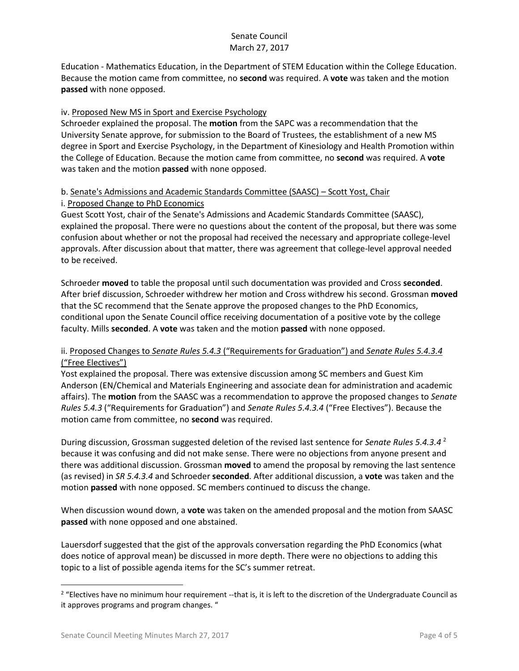Education - Mathematics Education, in the Department of STEM Education within the College Education. Because the motion came from committee, no **second** was required. A **vote** was taken and the motion **passed** with none opposed.

### iv. Proposed New MS in Sport and Exercise Psychology

Schroeder explained the proposal. The **motion** from the SAPC was a recommendation that the University Senate approve, for submission to the Board of Trustees, the establishment of a new MS degree in Sport and Exercise Psychology, in the Department of Kinesiology and Health Promotion within the College of Education. Because the motion came from committee, no **second** was required. A **vote**  was taken and the motion **passed** with none opposed.

### b. Senate's Admissions and Academic Standards Committee (SAASC) – Scott Yost, Chair i. Proposed Change to PhD Economics

Guest Scott Yost, chair of the Senate's Admissions and Academic Standards Committee (SAASC), explained the proposal. There were no questions about the content of the proposal, but there was some confusion about whether or not the proposal had received the necessary and appropriate college-level approvals. After discussion about that matter, there was agreement that college-level approval needed to be received.

Schroeder **moved** to table the proposal until such documentation was provided and Cross **seconded**. After brief discussion, Schroeder withdrew her motion and Cross withdrew his second. Grossman **moved** that the SC recommend that the Senate approve the proposed changes to the PhD Economics, conditional upon the Senate Council office receiving documentation of a positive vote by the college faculty. Mills **seconded**. A **vote** was taken and the motion **passed** with none opposed.

# ii. Proposed Changes to *Senate Rules 5.4.3* ("Requirements for Graduation") and *Senate Rules 5.4.3.4* ("Free Electives")

Yost explained the proposal. There was extensive discussion among SC members and Guest Kim Anderson (EN/Chemical and Materials Engineering and associate dean for administration and academic affairs). The **motion** from the SAASC was a recommendation to approve the proposed changes to *Senate Rules 5.4.3* ("Requirements for Graduation") and *Senate Rules 5.4.3.4* ("Free Electives"). Because the motion came from committee, no **second** was required.

During discussion, Grossman suggested deletion of the revised last sentence for *Senate Rules 5.4.3.4* <sup>2</sup> because it was confusing and did not make sense. There were no objections from anyone present and there was additional discussion. Grossman **moved** to amend the proposal by removing the last sentence (as revised) in *SR 5.4.3.4* and Schroeder **seconded**. After additional discussion, a **vote** was taken and the motion **passed** with none opposed. SC members continued to discuss the change.

When discussion wound down, a **vote** was taken on the amended proposal and the motion from SAASC **passed** with none opposed and one abstained.

Lauersdorf suggested that the gist of the approvals conversation regarding the PhD Economics (what does notice of approval mean) be discussed in more depth. There were no objections to adding this topic to a list of possible agenda items for the SC's summer retreat.

l

<sup>&</sup>lt;sup>2</sup> "Electives have no minimum hour requirement --that is, it is left to the discretion of the Undergraduate Council as it approves programs and program changes. "